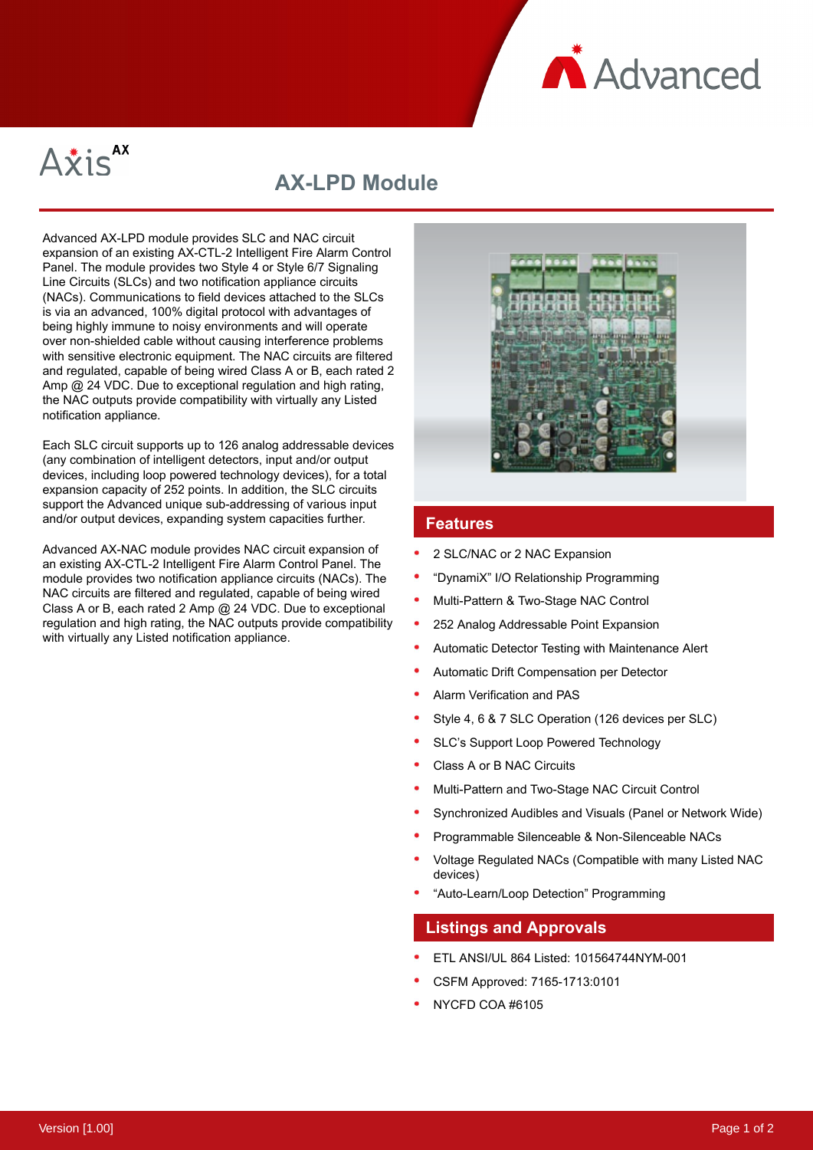



# **AX-LPD Module**

Advanced AX-LPD module provides SLC and NAC circuit expansion of an existing AX-CTL-2 Intelligent Fire Alarm Control Panel. The module provides two Style 4 or Style 6/7 Signaling Line Circuits (SLCs) and two notification appliance circuits (NACs). Communications to field devices attached to the SLCs is via an advanced, 100% digital protocol with advantages of being highly immune to noisy environments and will operate over non-shielded cable without causing interference problems with sensitive electronic equipment. The NAC circuits are filtered and regulated, capable of being wired Class A or B, each rated 2 Amp @ 24 VDC. Due to exceptional regulation and high rating, the NAC outputs provide compatibility with virtually any Listed notification appliance.

Each SLC circuit supports up to 126 analog addressable devices (any combination of intelligent detectors, input and/or output devices, including loop powered technology devices), for a total expansion capacity of 252 points. In addition, the SLC circuits support the Advanced unique sub-addressing of various input and/or output devices, expanding system capacities further.

Advanced AX-NAC module provides NAC circuit expansion of an existing AX-CTL-2 Intelligent Fire Alarm Control Panel. The module provides two notification appliance circuits (NACs). The NAC circuits are filtered and regulated, capable of being wired Class A or B, each rated 2 Amp @ 24 VDC. Due to exceptional regulation and high rating, the NAC outputs provide compatibility with virtually any Listed notification appliance.



#### **Features**

- 2 SLC/NAC or 2 NAC Expansion
- "DynamiX" I/O Relationship Programming
- Multi-Pattern & Two-Stage NAC Control
- 252 Analog Addressable Point Expansion
- Automatic Detector Testing with Maintenance Alert
- Automatic Drift Compensation per Detector
- Alarm Verification and PAS
- Style 4, 6 & 7 SLC Operation (126 devices per SLC)
- SLC's Support Loop Powered Technology
- Class A or B NAC Circuits
- Multi-Pattern and Two-Stage NAC Circuit Control
- Synchronized Audibles and Visuals (Panel or Network Wide)
- Programmable Silenceable & Non-Silenceable NACs
- Voltage Regulated NACs (Compatible with many Listed NAC devices)
- "Auto-Learn/Loop Detection" Programming

### **Listings and Approvals**

- ETL ANSI/UL 864 Listed: 101564744NYM-001
- CSFM Approved: 7165-1713:0101
- NYCFD COA #6105